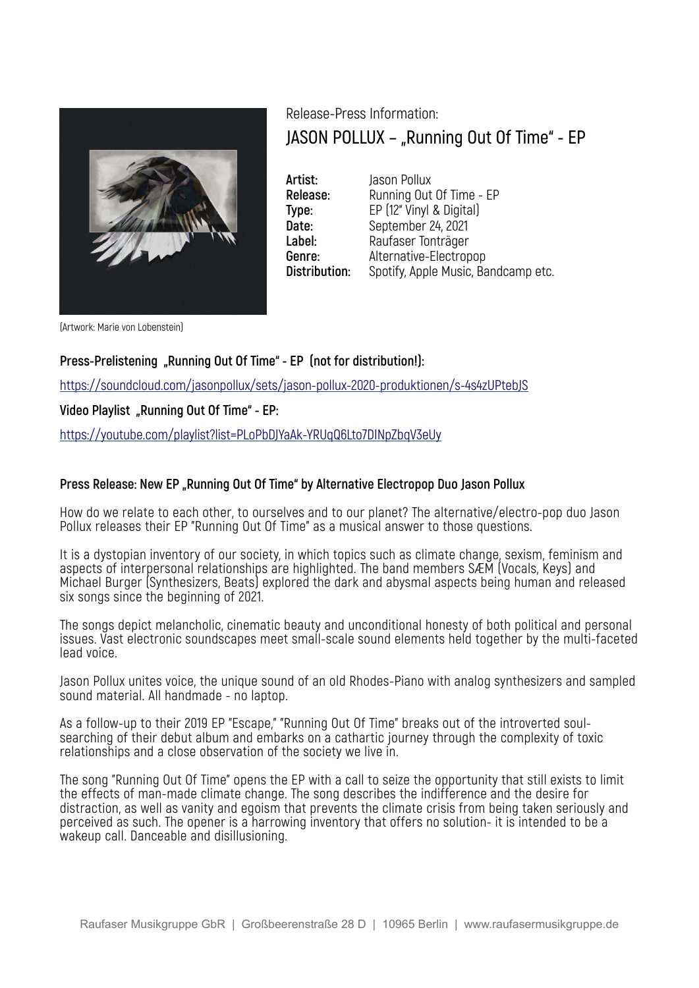

Release-Press Information: **JASON POLLUX – "Running Out Of Time" - EP**

**Artist:** Jason Pollux **Release:** Running Out Of Time - EP **Type:** EP (12" Vinyl & Digital)<br>**Date:** September 24, 2021 **Date:** September 24, 2021 **Label:** Raufaser Tonträger **Genre:** Alternative-Electropop **Distribution:** Spotify, Apple Music, Bandcamp etc.

(Artwork: Marie von Lobenstein)

# **Press-Prelistening "Running Out Of Time" - EP (not for distribution!):**

https://soundcloud.com/jasonpollux/sets/jason-pollux-2020-produktionen/s-4s4zUPtebJS

## Video Playlist "Running Out Of Time" - EP:

https://youtube.com/playlist?list=PLoPbDJYaAk-YRUqQ6Lto7DINpZbqV3eUy

### **Press Release: New EP "Running Out Of Time" by Alternative Electropop Duo Jason Pollux**

How do we relate to each other, to ourselves and to our planet? The alternative/electro-pop duo Jason Pollux releases their EP "Running Out Of Time" as a musical answer to those questions.

It is a dystopian inventory of our society, in which topics such as climate change, sexism, feminism and aspects of interpersonal relationships are highlighted. The band members SÆM (Vocals, Keys) and Michael Burger (Synthesizers, Beats) explored the dark and abysmal aspects being human and released six songs since the beginning of 2021.

The songs depict melancholic, cinematic beauty and unconditional honesty of both political and personal issues. Vast electronic soundscapes meet small-scale sound elements held together by the multi-faceted lead voice.

Jason Pollux unites voice, the unique sound of an old Rhodes-Piano with analog synthesizers and sampled sound material. All handmade - no laptop.

As a follow-up to their 2019 EP "Escape," "Running Out Of Time" breaks out of the introverted soulsearching of their debut album and embarks on a cathartic journey through the complexity of toxic relationships and a close observation of the society we live in.

The song "Running Out Of Time" opens the EP with a call to seize the opportunity that still exists to limit the effects of man-made climate change. The song describes the indifference and the desire for distraction, as well as vanity and egoism that prevents the climate crisis from being taken seriously and perceived as such. The opener is a harrowing inventory that offers no solution- it is intended to be a wakeup call. Danceable and disillusioning.